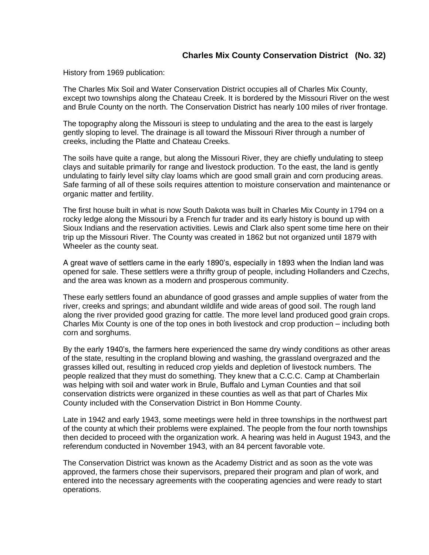## **Charles Mix County Conservation District (No. 32)**

History from 1969 publication:

The Charles Mix Soil and Water Conservation District occupies all of Charles Mix County, except two townships along the Chateau Creek. It is bordered by the Missouri River on the west and Brule County on the north. The Conservation District has nearly 100 miles of river frontage.

The topography along the Missouri is steep to undulating and the area to the east is largely gently sloping to level. The drainage is all toward the Missouri River through a number of creeks, including the Platte and Chateau Creeks.

The soils have quite a range, but along the Missouri River, they are chiefly undulating to steep clays and suitable primarily for range and livestock production. To the east, the land is gently undulating to fairly level silty clay loams which are good small grain and corn producing areas. Safe farming of all of these soils requires attention to moisture conservation and maintenance or organic matter and fertility.

The first house built in what is now South Dakota was built in Charles Mix County in 1794 on a rocky ledge along the Missouri by a French fur trader and its early history is bound up with Sioux Indians and the reservation activities. Lewis and Clark also spent some time here on their trip up the Missouri River. The County was created in 1862 but not organized until 1879 with Wheeler as the county seat.

A great wave of settlers came in the early 1890's, especially in 1893 when the Indian land was opened for sale. These settlers were a thrifty group of people, including Hollanders and Czechs, and the area was known as a modern and prosperous community.

These early settlers found an abundance of good grasses and ample supplies of water from the river, creeks and springs; and abundant wildlife and wide areas of good soil. The rough land along the river provided good grazing for cattle. The more level land produced good grain crops. Charles Mix County is one of the top ones in both livestock and crop production – including both corn and sorghums.

By the early 1940's, the farmers here experienced the same dry windy conditions as other areas of the state, resulting in the cropland blowing and washing, the grassland overgrazed and the grasses killed out, resulting in reduced crop yields and depletion of livestock numbers. The people realized that they must do something. They knew that a C.C.C. Camp at Chamberlain was helping with soil and water work in Brule, Buffalo and Lyman Counties and that soil conservation districts were organized in these counties as well as that part of Charles Mix County included with the Conservation District in Bon Homme County.

Late in 1942 and early 1943, some meetings were held in three townships in the northwest part of the county at which their problems were explained. The people from the four north townships then decided to proceed with the organization work. A hearing was held in August 1943, and the referendum conducted in November 1943, with an 84 percent favorable vote.

The Conservation District was known as the Academy District and as soon as the vote was approved, the farmers chose their supervisors, prepared their program and plan of work, and entered into the necessary agreements with the cooperating agencies and were ready to start operations.